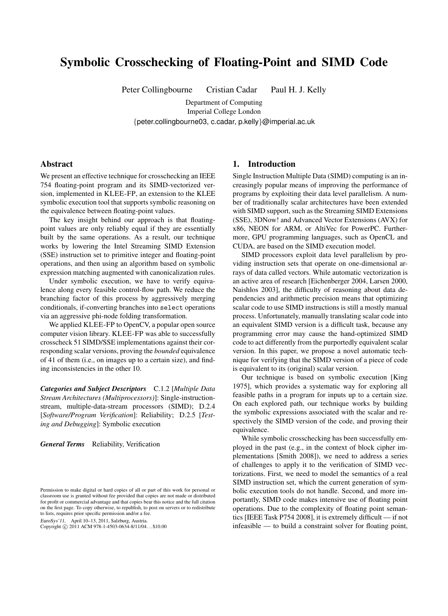# Symbolic Crosschecking of Floating-Point and SIMD Code

Peter Collingbourne Cristian Cadar Paul H. J. Kelly

Department of Computing Imperial College London {peter.collingbourne03, c.cadar, p.kelly}@imperial.ac.uk

# Abstract

We present an effective technique for crosschecking an IEEE 754 floating-point program and its SIMD-vectorized version, implemented in KLEE-FP, an extension to the KLEE symbolic execution tool that supports symbolic reasoning on the equivalence between floating-point values.

The key insight behind our approach is that floatingpoint values are only reliably equal if they are essentially built by the same operations. As a result, our technique works by lowering the Intel Streaming SIMD Extension (SSE) instruction set to primitive integer and floating-point operations, and then using an algorithm based on symbolic expression matching augmented with canonicalization rules.

Under symbolic execution, we have to verify equivalence along every feasible control-flow path. We reduce the branching factor of this process by aggressively merging conditionals, if-converting branches into select operations via an aggressive phi-node folding transformation.

We applied KLEE-FP to OpenCV, a popular open source computer vision library. KLEE-FP was able to successfully crosscheck 51 SIMD/SSE implementations against their corresponding scalar versions, proving the *bounded* equivalence of 41 of them (i.e., on images up to a certain size), and finding inconsistencies in the other 10.

*Categories and Subject Descriptors* C.1.2 [*Multiple Data Stream Architectures (Multiprocessors)*]: Single-instructionstream, multiple-data-stream processors (SIMD); D.2.4 [*Software/Program Verification*]: Reliability; D.2.5 [*Testing and Debugging*]: Symbolic execution

*General Terms* Reliability, Verification

EuroSys'11, April 10–13, 2011, Salzburg, Austria.

Copyright © 2011 ACM 978-1-4503-0634-8/11/04... \$10.00

#### 1. Introduction

Single Instruction Multiple Data (SIMD) computing is an increasingly popular means of improving the performance of programs by exploiting their data level parallelism. A number of traditionally scalar architectures have been extended with SIMD support, such as the Streaming SIMD Extensions (SSE), 3DNow! and Advanced Vector Extensions (AVX) for x86, NEON for ARM, or AltiVec for PowerPC. Furthermore, GPU programming languages, such as OpenCL and CUDA, are based on the SIMD execution model.

SIMD processors exploit data level parallelism by providing instruction sets that operate on one-dimensional arrays of data called vectors. While automatic vectorization is an active area of research [Eichenberger 2004, Larsen 2000, Naishlos 2003], the difficulty of reasoning about data dependencies and arithmetic precision means that optimizing scalar code to use SIMD instructions is still a mostly manual process. Unfortunately, manually translating scalar code into an equivalent SIMD version is a difficult task, because any programming error may cause the hand-optimized SIMD code to act differently from the purportedly equivalent scalar version. In this paper, we propose a novel automatic technique for verifying that the SIMD version of a piece of code is equivalent to its (original) scalar version.

Our technique is based on symbolic execution [King 1975], which provides a systematic way for exploring all feasible paths in a program for inputs up to a certain size. On each explored path, our technique works by building the symbolic expressions associated with the scalar and respectively the SIMD version of the code, and proving their equivalence.

While symbolic crosschecking has been successfully employed in the past (e.g., in the context of block cipher implementations [Smith 2008]), we need to address a series of challenges to apply it to the verification of SIMD vectorizations. First, we need to model the semantics of a real SIMD instruction set, which the current generation of symbolic execution tools do not handle. Second, and more importantly, SIMD code makes intensive use of floating point operations. Due to the complexity of floating point semantics [IEEE Task P754 2008], it is extremely difficult — if not infeasible — to build a constraint solver for floating point,

Permission to make digital or hard copies of all or part of this work for personal or classroom use is granted without fee provided that copies are not made or distributed for profit or commercial advantage and that copies bear this notice and the full citation on the first page. To copy otherwise, to republish, to post on servers or to redistribute to lists, requires prior specific permission and/or a fee.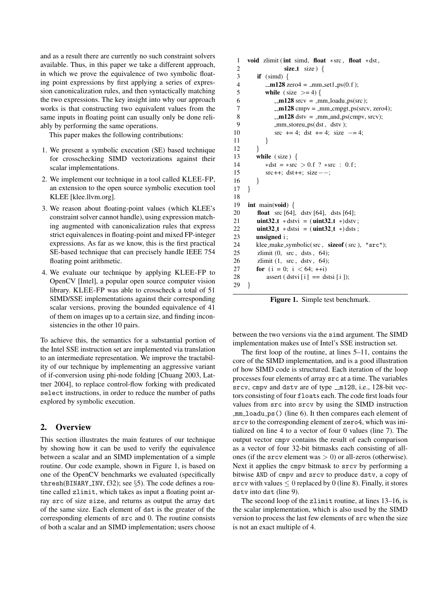and as a result there are currently no such constraint solvers available. Thus, in this paper we take a different approach, in which we prove the equivalence of two symbolic floating point expressions by first applying a series of expression canonicalization rules, and then syntactically matching the two expressions. The key insight into why our approach works is that constructing two equivalent values from the same inputs in floating point can usually only be done reliably by performing the same operations.

This paper makes the following contributions:

- 1. We present a symbolic execution (SE) based technique for crosschecking SIMD vectorizations against their scalar implementations.
- 2. We implement our technique in a tool called KLEE-FP, an extension to the open source symbolic execution tool KLEE [klee.llvm.org].
- 3. We reason about floating-point values (which KLEE's constraint solver cannot handle), using expression matching augmented with canonicalization rules that express strict equivalences in floating-point and mixed FP-integer expressions. As far as we know, this is the first practical SE-based technique that can precisely handle IEEE 754 floating point arithmetic.
- 4. We evaluate our technique by applying KLEE-FP to OpenCV [Intel], a popular open source computer vision library. KLEE-FP was able to crosscheck a total of 51 SIMD/SSE implementations against their corresponding scalar versions, proving the bounded equivalence of 41 of them on images up to a certain size, and finding inconsistencies in the other 10 pairs.

To achieve this, the semantics for a substantial portion of the Intel SSE instruction set are implemented via translation to an intermediate representation. We improve the tractability of our technique by implementing an aggressive variant of if-conversion using phi-node folding [Chuang 2003, Lattner 2004], to replace control-flow forking with predicated select instructions, in order to reduce the number of paths explored by symbolic execution.

# 2. Overview

This section illustrates the main features of our technique by showing how it can be used to verify the equivalence between a scalar and an SIMD implementation of a simple routine. Our code example, shown in Figure 1, is based on one of the OpenCV benchmarks we evaluated (specifically thresh(BINARY\_INV,  $f32$ ); see §5). The code defines a routine called zlimit, which takes as input a floating point array src of size size, and returns as output the array dst of the same size. Each element of dst is the greater of the corresponding elements of src and 0. The routine consists of both a scalar and an SIMD implementation; users choose

```
1 void zlimit (int simd, float ∗src , float ∗dst ,
 2 size_t size \begin{cases} 2 & \text{otherwise} \end{cases}3 if (simd) {<br>4 - m128 z
 4 m128 zero4 = _mm_set1_ps(0.f);<br>5 while (size >= 4) {
             while ( size >= 4) {
 6 -m128 srcv = _mm_loadu_ps(src);
 7 \text{ m128} \text{cm} cmpv = _mm_cmpgt_ps(srcv, zero4);
 8 m128 dstv = _mm_and_ps(cmpv, srcv);<br>9 mm storeu ps(dst_dstv):
                 mm\_storeu\_ps(dst, dstv);10 src += 4; dst += 4; size -= 4;
11 }
\begin{array}{ccc} 12 & & \\ 13 & & \textbf{w} \end{array}while (size) {
14 *dist = *src > 0.f ? * src : 0.f;15 src++; dst++; size−−;
\begin{matrix} 16 & 1 \\ 17 & 1 \end{matrix}17 }
18
19 int main(void) \{20 float src [64], dstv [64], dsts [64];
21 uint32_t *dstvi = (uint32_t *)dstv;<br>22 uint32_t *dstsi = (uint32_t *)dsts :
          \text{uint32}_t * \text{dsts} = (\text{uint32}_t * ) \text{dsts};
23 unsigned i;<br>24 klee make s
24 klee make symbolic(src, sizeof (src), "src");<br>25 zlimit (0 src dsts 64)
          zlimit (0, \text{src}, \text{dsts}, 64);
26 zlimit (1, src, dstv, 64);
27 for (i = 0; i < 64; ++i)28 assert ( dstvi [i] == dstsi [i]);
29 }
```
Figure 1. Simple test benchmark.

between the two versions via the simd argument. The SIMD implementation makes use of Intel's SSE instruction set.

The first loop of the routine, at lines 5–11, contains the core of the SIMD implementation, and is a good illustration of how SIMD code is structured. Each iteration of the loop processes four elements of array src at a time. The variables srcv, cmpv and dstv are of type \_m128, i.e., 128-bit vectors consisting of four floats each. The code first loads four values from src into srcv by using the SIMD instruction mm loadu ps() (line 6). It then compares each element of srcv to the corresponding element of zero4, which was initialized on line 4 to a vector of four 0 values (line 7). The output vector cmpv contains the result of each comparison as a vector of four 32-bit bitmasks each consisting of allones (if the srcv element was  $> 0$ ) or all-zeros (otherwise). Next it applies the cmpv bitmask to srcv by performing a bitwise AND of cmpv and srcv to produce dstv, a copy of srcv with values  $\leq 0$  replaced by 0 (line 8). Finally, it stores dsty into dst (line 9).

The second loop of the zlimit routine, at lines 13–16, is the scalar implementation, which is also used by the SIMD version to process the last few elements of src when the size is not an exact multiple of 4.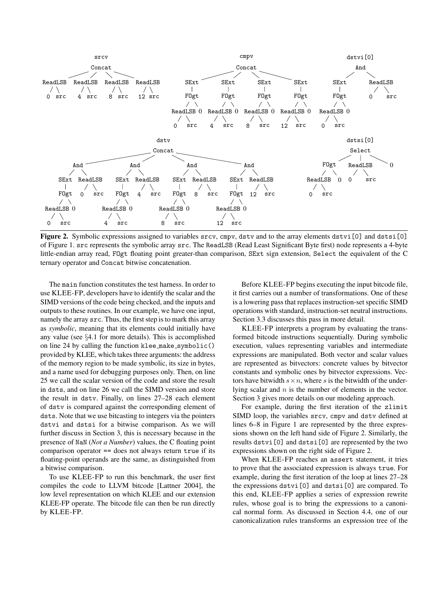

Figure 2. Symbolic expressions assigned to variables srcv, cmpv, dstv and to the array elements dstvi[0] and dstsi[0] of Figure 1. src represents the symbolic array src. The ReadLSB (Read Least Significant Byte first) node represents a 4-byte little-endian array read, FOgt floating point greater-than comparison, SExt sign extension, Select the equivalent of the C ternary operator and Concat bitwise concatenation.

The main function constitutes the test harness. In order to use KLEE-FP, developers have to identify the scalar and the SIMD versions of the code being checked, and the inputs and outputs to these routines. In our example, we have one input, namely the array src. Thus, the first step is to mark this array as *symbolic*, meaning that its elements could initially have any value (see §4.1 for more details). This is accomplished on line 24 by calling the function  $klee\_make\_symbolic()$ provided by KLEE, which takes three arguments: the address of the memory region to be made symbolic, its size in bytes, and a name used for debugging purposes only. Then, on line 25 we call the scalar version of the code and store the result in dsts, and on line 26 we call the SIMD version and store the result in dstv. Finally, on lines 27–28 each element of dstv is compared against the corresponding element of dsts. Note that we use bitcasting to integers via the pointers dstvi and dstsi for a bitwise comparison. As we will further discuss in Section 3, this is necessary because in the presence of NaN (*Not a Number*) values, the C floating point comparison operator == does not always return true if its floating-point operands are the same, as distinguished from a bitwise comparison.

To use KLEE-FP to run this benchmark, the user first compiles the code to LLVM bitcode [Lattner 2004], the low level representation on which KLEE and our extension KLEE-FP operate. The bitcode file can then be run directly by KLEE-FP.

Before KLEE-FP begins executing the input bitcode file, it first carries out a number of transformations. One of these is a lowering pass that replaces instruction-set specific SIMD operations with standard, instruction-set neutral instructions. Section 3.3 discusses this pass in more detail.

KLEE-FP interprets a program by evaluating the transformed bitcode instructions sequentially. During symbolic execution, values representing variables and intermediate expressions are manipulated. Both vector and scalar values are represented as bitvectors: concrete values by bitvector constants and symbolic ones by bitvector expressions. Vectors have bitwidth  $s \times n$ , where s is the bitwidth of the underlying scalar and  $n$  is the number of elements in the vector. Section 3 gives more details on our modeling approach.

For example, during the first iteration of the zlimit SIMD loop, the variables srcv, cmpv and dstv defined at lines 6–8 in Figure 1 are represented by the three expressions shown on the left hand side of Figure 2. Similarly, the results dstvi[0] and dstsi[0] are represented by the two expressions shown on the right side of Figure 2.

When KLEE-FP reaches an assert statement, it tries to prove that the associated expression is always true. For example, during the first iteration of the loop at lines 27–28 the expressions dstvi[0] and dstsi[0] are compared. To this end, KLEE-FP applies a series of expression rewrite rules, whose goal is to bring the expressions to a canonical normal form. As discussed in Section 4.4, one of our canonicalization rules transforms an expression tree of the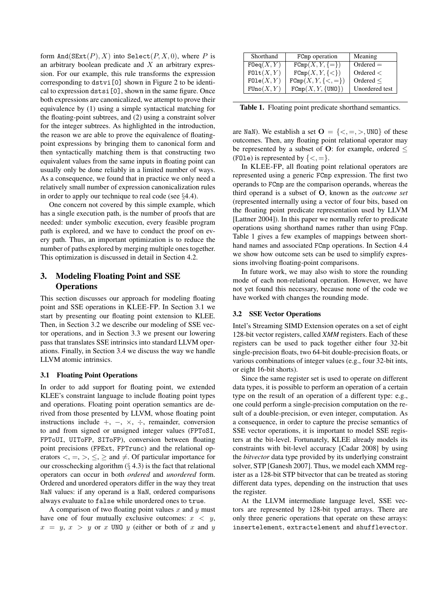form And(SExt(P), X) into Select(P, X, 0), where P is an arbitrary boolean predicate and  $X$  an arbitrary expression. For our example, this rule transforms the expression corresponding to dstvi[0] shown in Figure 2 to be identical to expression dstsi[0], shown in the same figure. Once both expressions are canonicalized, we attempt to prove their equivalence by (1) using a simple syntactical matching for the floating-point subtrees, and (2) using a constraint solver for the integer subtrees. As highlighted in the introduction, the reason we are able to prove the equivalence of floatingpoint expressions by bringing them to canonical form and then syntactically matching them is that constructing two equivalent values from the same inputs in floating point can usually only be done reliably in a limited number of ways. As a consequence, we found that in practice we only need a relatively small number of expression canonicalization rules in order to apply our technique to real code (see §4.4).

One concern not covered by this simple example, which has a single execution path, is the number of proofs that are needed: under symbolic execution, every feasible program path is explored, and we have to conduct the proof on every path. Thus, an important optimization is to reduce the number of paths explored by merging multiple ones together. This optimization is discussed in detail in Section 4.2.

# 3. Modeling Floating Point and SSE **Operations**

This section discusses our approach for modeling floating point and SSE operations in KLEE-FP. In Section 3.1 we start by presenting our floating point extension to KLEE. Then, in Section 3.2 we describe our modeling of SSE vector operations, and in Section 3.3 we present our lowering pass that translates SSE intrinsics into standard LLVM operations. Finally, in Section 3.4 we discuss the way we handle LLVM atomic intrinsics.

#### 3.1 Floating Point Operations

In order to add support for floating point, we extended KLEE's constraint language to include floating point types and operations. Floating point operation semantics are derived from those presented by LLVM, whose floating point instructions include +,  $-$ ,  $\times$ ,  $\div$ , remainder, conversion to and from signed or unsigned integer values (FPToSI, FPToUI, UIToFP, SIToFP), conversion between floating point precisions (FPExt, FPTrunc) and the relational operators  $\langle , =, \rangle, \langle \rangle$  and  $\neq$ . Of particular importance for our crosschecking algorithm  $(\S 4.3)$  is the fact that relational operators can occur in both *ordered* and *unordered* form. Ordered and unordered operators differ in the way they treat NaN values: if any operand is a NaN, ordered comparisons always evaluate to false while unordered ones to true.

A comparison of two floating point values  $x$  and  $y$  must have one of four mutually exclusive outcomes:  $x < y$ ,  $x = y, x > y$  or x UNO y (either or both of x and y

| Shorthand            | FCmp operation          | Meaning        |
|----------------------|-------------------------|----------------|
| $\texttt{F0eq}(X,Y)$ | $FComp(X, Y, \{=\})$    | $Ordered =$    |
| F01t(X,Y)            | $FCmp(X, Y, \{<\})$     | Ordered $\lt$  |
| $\texttt{F0le}(X,Y)$ | $FComp(X, Y, \{<, =\})$ | Ordered $\leq$ |
| $\text{FUno}(X, Y)$  | $FCmp(X, Y, \{UNO\})$   | Unordered test |

Table 1. Floating point predicate shorthand semantics.

are NaN). We establish a set  $O = \{ \langle , =, \rangle, \text{UNO} \}$  of these outcomes. Then, any floating point relational operator may be represented by a subset of O: for example, ordered  $\leq$ (F01e) is represented by  $\{<,=\}.$ 

In KLEE-FP, all floating point relational operators are represented using a generic FCmp expression. The first two operands to FCmp are the comparison operands, whereas the third operand is a subset of O, known as the *outcome set* (represented internally using a vector of four bits, based on the floating point predicate representation used by LLVM [Lattner 2004]). In this paper we normally refer to predicate operations using shorthand names rather than using FCmp. Table 1 gives a few examples of mappings between shorthand names and associated FCmp operations. In Section 4.4 we show how outcome sets can be used to simplify expressions involving floating-point comparisons.

In future work, we may also wish to store the rounding mode of each non-relational operation. However, we have not yet found this necessary, because none of the code we have worked with changes the rounding mode.

# 3.2 SSE Vector Operations

Intel's Streaming SIMD Extension operates on a set of eight 128-bit vector registers, called *XMM* registers. Each of these registers can be used to pack together either four 32-bit single-precision floats, two 64-bit double-precision floats, or various combinations of integer values (e.g., four 32-bit ints, or eight 16-bit shorts).

Since the same register set is used to operate on different data types, it is possible to perform an operation of a certain type on the result of an operation of a different type: e.g., one could perform a single-precision computation on the result of a double-precision, or even integer, computation. As a consequence, in order to capture the precise semantics of SSE vector operations, it is important to model SSE registers at the bit-level. Fortunately, KLEE already models its constraints with bit-level accuracy [Cadar 2008] by using the *bitvector* data type provided by its underlying constraint solver, STP [Ganesh 2007]. Thus, we model each XMM register as a 128-bit STP bitvector that can be treated as storing different data types, depending on the instruction that uses the register.

At the LLVM intermediate language level, SSE vectors are represented by 128-bit typed arrays. There are only three generic operations that operate on these arrays: insertelement, extractelement and shufflevector.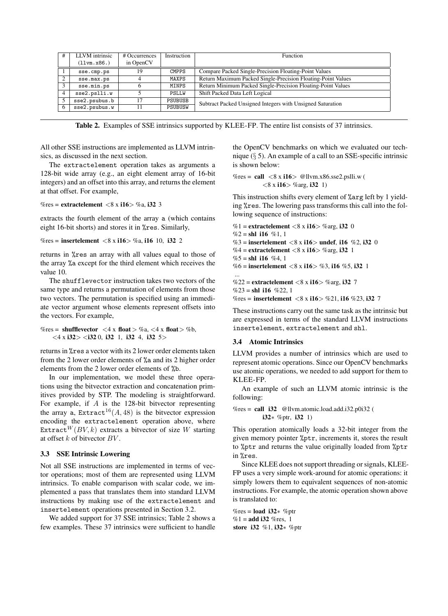| # | LLVM intrinsic | # Occurrences | Instruction | <b>Function</b>                                              |  |  |
|---|----------------|---------------|-------------|--------------------------------------------------------------|--|--|
|   | (11vm.x86.)    | in OpenCV     |             |                                                              |  |  |
|   | sse.cmp.ps     | 19            | CMPPS       | Compare Packed Single-Precision Floating-Point Values        |  |  |
|   | sse.max.ps     |               | MAXPS       | Return Maximum Packed Single-Precision Floating-Point Values |  |  |
|   | sse.min.ps     |               | MINPS       | Return Minimum Packed Single-Precision Floating-Point Values |  |  |
|   | sse2.pslli.w   |               | PSLLW       | Shift Packed Data Left Logical                               |  |  |
|   | sse2.psubus.b  | 17            | PSUBUSB     | Subtract Packed Unsigned Integers with Unsigned Saturation   |  |  |
|   | sse2.psubus.w  |               | PSUBUSW     |                                                              |  |  |

Table 2. Examples of SSE intrinsics supported by KLEE-FP. The entire list consists of 37 intrinsics.

All other SSE instructions are implemented as LLVM intrinsics, as discussed in the next section.

The extractelement operation takes as arguments a 128-bit wide array (e.g., an eight element array of 16-bit integers) and an offset into this array, and returns the element at that offset. For example,

 $\%$ res = extractelement <8 x i16> %a, i32 3

extracts the fourth element of the array a (which contains eight 16-bit shorts) and stores it in %res. Similarly,

 $\%$ res = insertelement <8 x i16 \times %a, i16 10, i32 2

returns in %res an array with all values equal to those of the array %a except for the third element which receives the value 10.

The shufflevector instruction takes two vectors of the same type and returns a permutation of elements from those two vectors. The permutation is specified using an immediate vector argument whose elements represent offsets into the vectors. For example,

```
\%res = shufflevector <4 x float > %a, <4 x float > %b,
     \langle 4 \times 132 \rangle \langle 132 \times 132 \rangle 1, i32 4, i32 5
```
returns in %res a vector with its 2 lower order elements taken from the 2 lower order elements of %a and its 2 higher order elements from the 2 lower order elements of %b.

In our implementation, we model these three operations using the bitvector extraction and concatenation primitives provided by STP. The modeling is straightforward. For example, if  $A$  is the 128-bit bitvector representing the array a, Extract<sup>16</sup> $(A, 48)$  is the bitvector expression encoding the extractelement operation above, where Extract<sup>W</sup>(BV, k) extracts a bitvector of size W starting at offset  $k$  of bitvector  $BV$ .

# 3.3 SSE Intrinsic Lowering

Not all SSE instructions are implemented in terms of vector operations; most of them are represented using LLVM intrinsics. To enable comparison with scalar code, we implemented a pass that translates them into standard LLVM instructions by making use of the extractelement and insertelement operations presented in Section 3.2.

We added support for 37 SSE intrinsics; Table 2 shows a few examples. These 37 intrinsics were sufficient to handle the OpenCV benchmarks on which we evaluated our technique  $(\S 5)$ . An example of a call to an SSE-specific intrinsic is shown below:

 $\%$ res = call <8 x i16> @llvm.x86.sse2.pslli.w (  $< 8 \times 116$  % arg, i32 1)

This instruction shifts every element of %arg left by 1 yielding %res. The lowering pass transforms this call into the following sequence of instructions:

```
% 1 = extractelement <8 x i16> % arg, i32 0
%2 =shl i16 %1, 1
%3 = insertelement <8 x i16 > undef, i16 %2, i32 0
%4 = extractelement < 8 \times 116 > % arg, i32 1
%5 =shl i16 %4, 1
%6 = insertelement <8 x i16 > %3, i16 %5, i32 1
...
%22 = extractelement <8 x i16> %arg, i32 7
%23 =shl i16 %22, 1
\%res = insertelement <8 x i16 > \%21, i16 \%23, i32 7
```
These instructions carry out the same task as the intrinsic but are expressed in terms of the standard LLVM instructions insertelement, extractelement and shl.

#### 3.4 Atomic Intrinsics

LLVM provides a number of intrinsics which are used to represent atomic operations. Since our OpenCV benchmarks use atomic operations, we needed to add support for them to KLEE-FP.

An example of such an LLVM atomic intrinsic is the following:

 $\%$ res = call i32 @llvm.atomic.load.add.i32.p0i32 ( i32∗ %ptr, i32 1)

This operation atomically loads a 32-bit integer from the given memory pointer %ptr, increments it, stores the result to %ptr and returns the value originally loaded from %ptr in %res.

Since KLEE does not support threading or signals, KLEE-FP uses a very simple work-around for atomic operations: it simply lowers them to equivalent sequences of non-atomic instructions. For example, the atomic operation shown above is translated to:

%res = load i32∗ %ptr  $%1 =$ **add i32** %res, 1 store i32 %1, i32∗ %ptr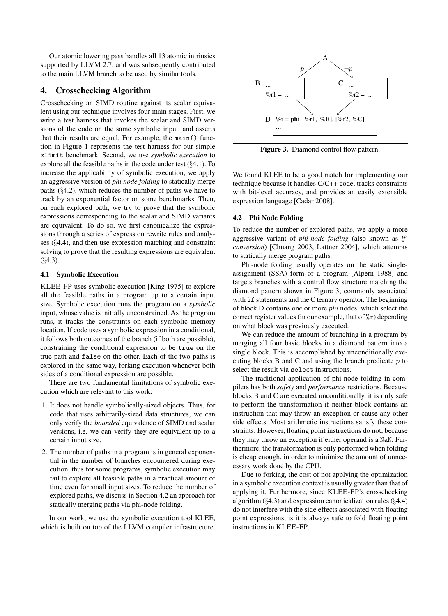Our atomic lowering pass handles all 13 atomic intrinsics supported by LLVM 2.7, and was subsequently contributed to the main LLVM branch to be used by similar tools.

# 4. Crosschecking Algorithm

Crosschecking an SIMD routine against its scalar equivalent using our technique involves four main stages. First, we write a test harness that invokes the scalar and SIMD versions of the code on the same symbolic input, and asserts that their results are equal. For example, the main() function in Figure 1 represents the test harness for our simple zlimit benchmark. Second, we use *symbolic execution* to explore all the feasible paths in the code under test (§4.1). To increase the applicability of symbolic execution, we apply an aggressive version of *phi node folding* to statically merge paths (§4.2), which reduces the number of paths we have to track by an exponential factor on some benchmarks. Then, on each explored path, we try to prove that the symbolic expressions corresponding to the scalar and SIMD variants are equivalent. To do so, we first canonicalize the expressions through a series of expression rewrite rules and analyses (§4.4), and then use expression matching and constraint solving to prove that the resulting expressions are equivalent  $(\$4.3).$ 

# 4.1 Symbolic Execution

KLEE-FP uses symbolic execution [King 1975] to explore all the feasible paths in a program up to a certain input size. Symbolic execution runs the program on a *symbolic* input, whose value is initially unconstrained. As the program runs, it tracks the constraints on each symbolic memory location. If code uses a symbolic expression in a conditional, it follows both outcomes of the branch (if both are possible), constraining the conditional expression to be true on the true path and false on the other. Each of the two paths is explored in the same way, forking execution whenever both sides of a conditional expression are possible.

There are two fundamental limitations of symbolic execution which are relevant to this work:

- 1. It does not handle symbolically-sized objects. Thus, for code that uses arbitrarily-sized data structures, we can only verify the *bounded* equivalence of SIMD and scalar versions, i.e. we can verify they are equivalent up to a certain input size.
- 2. The number of paths in a program is in general exponential in the number of branches encountered during execution, thus for some programs, symbolic execution may fail to explore all feasible paths in a practical amount of time even for small input sizes. To reduce the number of explored paths, we discuss in Section 4.2 an approach for statically merging paths via phi-node folding.

In our work, we use the symbolic execution tool KLEE, which is built on top of the LLVM compiler infrastructure.



Figure 3. Diamond control flow pattern.

We found KLEE to be a good match for implementing our technique because it handles C/C++ code, tracks constraints with bit-level accuracy, and provides an easily extensible expression language [Cadar 2008].

# 4.2 Phi Node Folding

To reduce the number of explored paths, we apply a more aggressive variant of *phi-node folding* (also known as *ifconversion*) [Chuang 2003, Lattner 2004], which attempts to statically merge program paths.

Phi-node folding usually operates on the static singleassignment (SSA) form of a program [Alpern 1988] and targets branches with a control flow structure matching the diamond pattern shown in Figure 3, commonly associated with if statements and the C ternary operator. The beginning of block D contains one or more *phi* nodes, which select the correct register values (in our example, that of  $\chi$ r) depending on what block was previously executed.

We can reduce the amount of branching in a program by merging all four basic blocks in a diamond pattern into a single block. This is accomplished by unconditionally executing blocks B and C and using the branch predicate  $p$  to select the result via select instructions.

The traditional application of phi-node folding in compilers has both *safety* and *performance* restrictions. Because blocks B and C are executed unconditionally, it is only safe to perform the transformation if neither block contains an instruction that may throw an exception or cause any other side effects. Most arithmetic instructions satisfy these constraints. However, floating point instructions do not, because they may throw an exception if either operand is a NaN. Furthermore, the transformation is only performed when folding is cheap enough, in order to minimize the amount of unnecessary work done by the CPU.

Due to forking, the cost of not applying the optimization in a symbolic execution context is usually greater than that of applying it. Furthermore, since KLEE-FP's crosschecking algorithm  $(\S4.3)$  and expression canonicalization rules  $(\S4.4)$ do not interfere with the side effects associated with floating point expressions, is it is always safe to fold floating point instructions in KLEE-FP.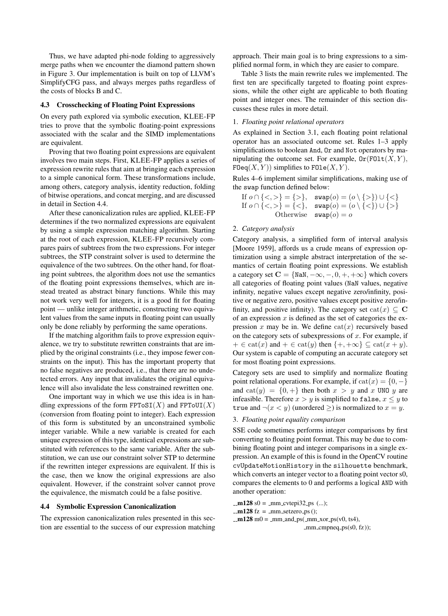Thus, we have adapted phi-node folding to aggressively merge paths when we encounter the diamond pattern shown in Figure 3. Our implementation is built on top of LLVM's SimplifyCFG pass, and always merges paths regardless of the costs of blocks B and C.

#### 4.3 Crosschecking of Floating Point Expressions

On every path explored via symbolic execution, KLEE-FP tries to prove that the symbolic floating-point expressions associated with the scalar and the SIMD implementations are equivalent.

Proving that two floating point expressions are equivalent involves two main steps. First, KLEE-FP applies a series of expression rewrite rules that aim at bringing each expression to a simple canonical form. These transformations include, among others, category analysis, identity reduction, folding of bitwise operations, and concat merging, and are discussed in detail in Section 4.4.

After these canonicalization rules are applied, KLEE-FP determines if the two normalized expressions are equivalent by using a simple expression matching algorithm. Starting at the root of each expression, KLEE-FP recursively compares pairs of subtrees from the two expressions. For integer subtrees, the STP constraint solver is used to determine the equivalence of the two subtrees. On the other hand, for floating point subtrees, the algorithm does not use the semantics of the floating point expressions themselves, which are instead treated as abstract binary functions. While this may not work very well for integers, it is a good fit for floating point — unlike integer arithmetic, constructing two equivalent values from the same inputs in floating point can usually only be done reliably by performing the same operations.

If the matching algorithm fails to prove expression equivalence, we try to substitute rewritten constraints that are implied by the original constraints (i.e., they impose fewer constraints on the input). This has the important property that no false negatives are produced, i.e., that there are no undetected errors. Any input that invalidates the original equivalence will also invalidate the less constrained rewritten one.

One important way in which we use this idea is in handling expressions of the form  $FPToSI(X)$  and  $FPToUI(X)$ (conversion from floating point to integer). Each expression of this form is substituted by an unconstrained symbolic integer variable. While a new variable is created for each unique expression of this type, identical expressions are substituted with references to the same variable. After the substitution, we can use our constraint solver STP to determine if the rewritten integer expressions are equivalent. If this is the case, then we know the original expressions are also equivalent. However, if the constraint solver cannot prove the equivalence, the mismatch could be a false positive.

#### 4.4 Symbolic Expression Canonicalization

The expression canonicalization rules presented in this section are essential to the success of our expression matching approach. Their main goal is to bring expressions to a simplified normal form, in which they are easier to compare.

Table 3 lists the main rewrite rules we implemented. The first ten are specifically targeted to floating point expressions, while the other eight are applicable to both floating point and integer ones. The remainder of this section discusses these rules in more detail.

#### 1. *Floating point relational operators*

As explained in Section 3.1, each floating point relational operator has an associated outcome set. Rules 1–3 apply simplifications to boolean And, Or and Not operators by manipulating the outcome set. For example,  $\text{Or}(\text{FOLt}(X, Y)),$  $F$ Oeq $(X, Y)$ ) simplifies to  $F$ Ole $(X, Y)$ .

Rules 4–6 implement similar simplifications, making use of the swap function defined below:

If 
$$
o \cap \{ <, \gt\} = \{ > \}, \quad \text{swap}(o) = (o \setminus \{ > \}) \cup \{ < \}
$$
\n\nIf  $o \cap \{ <, \gt\} = \{ < \}, \quad \text{swap}(o) = (o \setminus \{ < \}) \cup \{ > \}$ \n\nOtherwise\n $\quad \text{swap}(o) = o$ 

### 2. *Category analysis*

Category analysis, a simplified form of interval analysis [Moore 1959], affords us a crude means of expression optimization using a simple abstract interpretation of the semantics of certain floating point expressions. We establish a category set  $C = \{NaN, -\infty, -, 0, +, +\infty\}$  which covers all categories of floating point values (NaN values, negative infinity, negative values except negative zero/infinity, positive or negative zero, positive values except positive zero/infinity, and positive infinity). The category set  $cat(x) \subseteq \mathbf{C}$ of an expression  $x$  is defined as the set of categories the expression x may be in. We define  $cat(x)$  recursively based on the category sets of subexpressions of  $x$ . For example, if  $+ \in \text{cat}(x)$  and  $+ \in \text{cat}(y)$  then  $\{+, +\infty\} \subseteq \text{cat}(x+y)$ . Our system is capable of computing an accurate category set for most floating point expressions.

Category sets are used to simplify and normalize floating point relational operations. For example, if  $cat(x) = \{0, -\}$ and cat(y) =  $\{0, +\}$  then both  $x > y$  and x UNO y are infeasible. Therefore  $x > y$  is simplified to false,  $x \leq y$  to true and  $\neg(x \leq y)$  (unordered  $\geq$ ) is normalized to  $x = y$ .

#### 3. *Floating point equality comparison*

SSE code sometimes performs integer comparisons by first converting to floating point format. This may be due to combining floating point and integer comparisons in a single expression. An example of this is found in the OpenCV routine cvUpdateMotionHistory in the silhouette benchmark, which converts an integer vector to a floating point vector s0, compares the elements to 0 and performs a logical AND with another operation:

```
-m128 s0 = mm_c cvtepi32<sub>-ps</sub> (...);
```
 $-m128$  fz =  $mm\_setzero-ps$  ();

 $-m128$  m $0 = mm$  and ps( $mm$ xor ps( $v0$ , ts4),  $mm$  cmpneq  $-ps(s0, fz)$ ;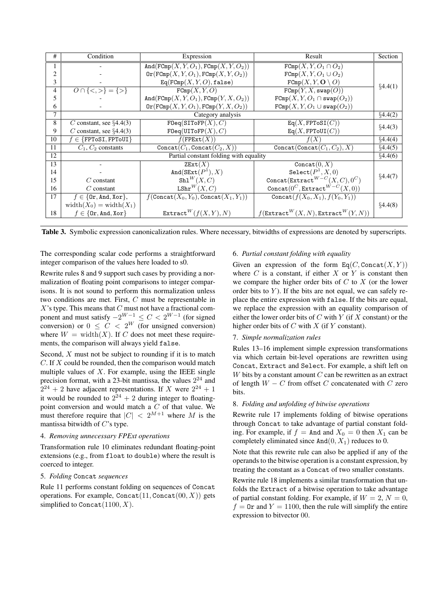| #  | Condition                                      | Expression                                                                            | Result                                               | Section |  |  |  |
|----|------------------------------------------------|---------------------------------------------------------------------------------------|------------------------------------------------------|---------|--|--|--|
|    |                                                | And $(\text{FCmp}(X, Y, O_1), \text{FCmp}(X, Y, O_2))$<br>$FComp(X, Y, O_1 \cap O_2)$ |                                                      |         |  |  |  |
| 2  |                                                | $\text{Or}(\text{FCmp}(X, Y, O_1), \text{FCmp}(X, Y, O_2))$                           | $FComp(X, Y, O_1\cup O_2)$                           |         |  |  |  |
| 3  |                                                | Eq(FCmp(X, Y, O), false)                                                              | $FComp(X, Y, O \setminus O)$                         | §4.4(1) |  |  |  |
| 4  | $O \cap \{ \lt, \gt\} = \{ \gt\}$              | $\overline{\text{FCmp}(X,Y,O)}$                                                       | FCmp(Y, X, swap(O))                                  |         |  |  |  |
| 5  |                                                | And $(\text{FCmp}(X, Y, O_1), \text{FCmp}(Y, X, O_2))$                                | $FComp(X, Y, O_1 \cap swap(O_2))$                    |         |  |  |  |
| 6  |                                                | $\text{Or}(\text{FCmp}(X, Y, O_1), \text{FCmp}(Y, X, O_2))$                           | $FComp(X, Y, O_1 \cup swap(O_2))$                    |         |  |  |  |
| 7  |                                                | Category analysis                                                                     |                                                      | §4.4(2) |  |  |  |
| 8  | C constant, see $\S4.4(3)$                     | $\mathsf{F0eq}(\mathsf{SIToFP}(X),C)$                                                 | $Eq(X, \text{FPToSI}(C))$                            | §4.4(3) |  |  |  |
| 9  | C constant, see $\S4.4(3)$                     | $\mathsf{F0eq}(\mathtt{UIToFP}(X),C)$                                                 | $Eq(X, \text{FPToUI}(C))$                            |         |  |  |  |
| 10 | $f \in \{ \texttt{FPToSI}, \texttt{FPToUI} \}$ | $f$ (FPExt $(X)$ )                                                                    | f(X)                                                 | §4.4(4) |  |  |  |
| 11 | $C_1, C_2$ constants                           | Concat $(C_1, \text{Concat}(C_2, X))$                                                 | $Concat(Concat(C_1, C_2), X)$                        | §4.4(5) |  |  |  |
| 12 | Partial constant folding with equality         |                                                                                       |                                                      |         |  |  |  |
| 13 |                                                | ZExt(X)                                                                               | Concat $(0, X)$                                      |         |  |  |  |
| 14 |                                                | And $(\text{SExt}(P^1), X)$                                                           | Select $(P^1, X, 0)$                                 | §4.4(7) |  |  |  |
| 15 | $C$ constant                                   | $\text{Shl}^W(X, C)$                                                                  | Concat(Extract <sup>W-C</sup> $(X, C), 0^C$ )        |         |  |  |  |
| 16 | $C$ constant                                   | $\text{LShr}^W(X, C)$                                                                 | Concat $(0^C,$ Extract $^{W-C}(X,0))$                |         |  |  |  |
| 17 | $f \in \{0r, And, Xor\},\$                     | $f(\text{Concat}(X_0, Y_0), \text{Concat}(X_1, Y_1))$                                 | Concat $(f(X_0, X_1), f(Y_0, Y_1))$                  |         |  |  |  |
|    | $width(X_0) = width(X_1)$                      |                                                                                       |                                                      |         |  |  |  |
| 18 | $f \in \{0r, And, Xor\}$                       | $\text{Extract}^W(f(X,Y),N)$                                                          | $f(\text{Extract}^{W}(X,N),\text{Extract}^{W}(Y,N))$ |         |  |  |  |

Table 3. Symbolic expression canonicalization rules. Where necessary, bitwidths of expressions are denoted by superscripts.

The corresponding scalar code performs a straightforward integer comparison of the values here loaded to s0.

Rewrite rules 8 and 9 support such cases by providing a normalization of floating point comparisons to integer comparisons. It is not sound to perform this normalization unless two conditions are met. First, C must be representable in  $X$ 's type. This means that  $C$  must not have a fractional component and must satisfy  $-2^{W-1} \le C < 2^{W-1}$  (for signed conversion) or  $0 \leq C < 2^W$  (for unsigned conversion) where  $W = \text{width}(X)$ . If C does not meet these requirements, the comparison will always yield false.

Second,  $X$  must not be subject to rounding if it is to match  $C$ . If  $X$  could be rounded, then the comparison would match multiple values of  $X$ . For example, using the IEEE single precision format, with a 23-bit mantissa, the values  $2^{24}$  and  $2^{24} + 2$  have adjacent representations. If X were  $2^{24} + 1$ it would be rounded to  $2^{24} + 2$  during integer to floatingpoint conversion and would match a C of that value. We must therefore require that  $|C| < 2^{M+1}$  where M is the mantissa bitwidth of C's type.

# 4. *Removing unnecessary FPExt operations*

Transformation rule 10 eliminates redundant floating-point extensions (e.g., from float to double) where the result is coerced to integer.

### 5. *Folding* Concat *sequences*

Rule 11 performs constant folding on sequences of Concat operations. For example, Concat $(11,$  Concat $(00, X)$ ) gets simplified to Concat $(1100, X)$ .

# 6. *Partial constant folding with equality*

Given an expression of the form  $Eq(C,$  Concat $(X, Y))$ where  $C$  is a constant, if either  $X$  or  $Y$  is constant then we compare the higher order bits of  $C$  to  $X$  (or the lower order bits to  $Y$ ). If the bits are not equal, we can safely replace the entire expression with false. If the bits are equal, we replace the expression with an equality comparison of either the lower order bits of  $C$  with  $Y$  (if  $X$  constant) or the higher order bits of  $C$  with  $X$  (if  $Y$  constant).

# 7. *Simple normalization rules*

Rules 13–16 implement simple expression transformations via which certain bit-level operations are rewritten using Concat, Extract and Select. For example, a shift left on W bits by a constant amount  $C$  can be rewritten as an extract of length  $W - C$  from offset C concatenated with C zero bits.

# 8. *Folding and unfolding of bitwise operations*

Rewrite rule 17 implements folding of bitwise operations through Concat to take advantage of partial constant folding. For example, if  $f =$  And and  $X_0 = 0$  then  $X_1$  can be completely eliminated since  $And(0, X_1)$  reduces to 0.

Note that this rewrite rule can also be applied if any of the operands to the bitwise operation is a constant expression, by treating the constant as a Concat of two smaller constants.

Rewrite rule 18 implements a similar transformation that unfolds the Extract of a bitwise operation to take advantage of partial constant folding. For example, if  $W = 2$ ,  $N = 0$ ,  $f = 0r$  and  $Y = 1100$ , then the rule will simplify the entire expression to bitvector 00.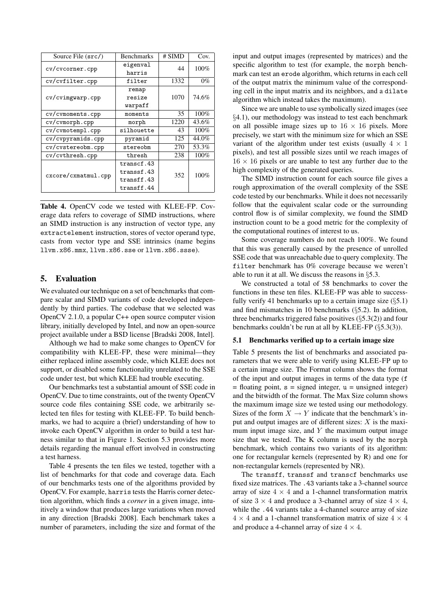| Source File (src/)  | <b>Benchmarks</b>  | # SIMD | Cov.  |
|---------------------|--------------------|--------|-------|
| cv/cvcorner.cpp     | eigenval<br>harris | 44     | 100%  |
| cv/cvfilter.cpp     | filter             | 1332   | $0\%$ |
| cv/cvimgwarp.cpp    | remap<br>resize    | 1070   | 74.6% |
|                     | warpaff            |        |       |
| cv/cvmoments.cpp    | moments            | 35     | 100%  |
| $cv/c$ vmorph.cpp   | morph              | 1220   | 43.6% |
| cv/cvmotempl.cpp    | silhouette         | 43     | 100%  |
| cv/cvpyramids.cpp   | pyramid            | 125    | 44.0% |
| cv/cvstereobm.cpp   | stereobm           | 270    | 53.3% |
| cv/cvthresh.cpp     | thresh             | 238    | 100%  |
|                     | transcf.43         |        |       |
| cxcore/cxmatmul.cpp | transsf.43<br>352  |        | 100%  |
|                     | transff.43         |        |       |
|                     | transff.44         |        |       |

Table 4. OpenCV code we tested with KLEE-FP. Coverage data refers to coverage of SIMD instructions, where an SIMD instruction is any instruction of vector type, any extractelement instruction, stores of vector operand type, casts from vector type and SSE intrinsics (name begins llvm.x86.mmx, llvm.x86.sse or llvm.x86.ssse).

# 5. Evaluation

We evaluated our technique on a set of benchmarks that compare scalar and SIMD variants of code developed independently by third parties. The codebase that we selected was OpenCV 2.1.0, a popular C++ open source computer vision library, initially developed by Intel, and now an open-source project available under a BSD license [Bradski 2008, Intel].

Although we had to make some changes to OpenCV for compatibility with KLEE-FP, these were minimal—they either replaced inline assembly code, which KLEE does not support, or disabled some functionality unrelated to the SSE code under test, but which KLEE had trouble executing.

Our benchmarks test a substantial amount of SSE code in OpenCV. Due to time constraints, out of the twenty OpenCV source code files containing SSE code, we arbitrarily selected ten files for testing with KLEE-FP. To build benchmarks, we had to acquire a (brief) understanding of how to invoke each OpenCV algorithm in order to build a test harness similar to that in Figure 1. Section 5.3 provides more details regarding the manual effort involved in constructing a test harness.

Table 4 presents the ten files we tested, together with a list of benchmarks for that code and coverage data. Each of our benchmarks tests one of the algorithms provided by OpenCV. For example, harris tests the Harris corner detection algorithm, which finds a *corner* in a given image, intuitively a window that produces large variations when moved in any direction [Bradski 2008]. Each benchmark takes a number of parameters, including the size and format of the input and output images (represented by matrices) and the specific algorithm to test (for example, the morph benchmark can test an erode algorithm, which returns in each cell of the output matrix the minimum value of the corresponding cell in the input matrix and its neighbors, and a dilate algorithm which instead takes the maximum).

Since we are unable to use symbolically sized images (see §4.1), our methodology was instead to test each benchmark on all possible image sizes up to  $16 \times 16$  pixels. More precisely, we start with the minimum size for which an SSE variant of the algorithm under test exists (usually  $4 \times 1$ ) pixels), and test all possible sizes until we reach images of  $16 \times 16$  pixels or are unable to test any further due to the high complexity of the generated queries.

The SIMD instruction count for each source file gives a rough approximation of the overall complexity of the SSE code tested by our benchmarks. While it does not necessarily follow that the equivalent scalar code or the surrounding control flow is of similar complexity, we found the SIMD instruction count to be a good metric for the complexity of the computational routines of interest to us.

Some coverage numbers do not reach 100%. We found that this was generally caused by the presence of unrolled SSE code that was unreachable due to query complexity. The filter benchmark has 0% coverage because we weren't able to run it at all. We discuss the reasons in §5.3.

We constructed a total of 58 benchmarks to cover the functions in these ten files. KLEE-FP was able to successfully verify 41 benchmarks up to a certain image size  $(\S 5.1)$ and find mismatches in 10 benchmarks (§5.2). In addition, three benchmarks triggered false positives  $(\S 5.3(2))$  and four benchmarks couldn't be run at all by KLEE-FP (§5.3(3)).

#### 5.1 Benchmarks verified up to a certain image size

Table 5 presents the list of benchmarks and associated parameters that we were able to verify using KLEE-FP up to a certain image size. The Format column shows the format of the input and output images in terms of the data type (f  $=$  floating point,  $s =$  signed integer,  $u =$  unsigned integer) and the bitwidth of the format. The Max Size column shows the maximum image size we tested using our methodology. Sizes of the form  $X \to Y$  indicate that the benchmark's input and output images are of different sizes:  $X$  is the maximum input image size, and  $Y$  the maximum output image size that we tested. The K column is used by the morph benchmark, which contains two variants of its algorithm: one for rectangular kernels (represented by R) and one for non-rectangular kernels (represented by NR).

The transff, transsf and transcf benchmarks use fixed size matrices. The .43 variants take a 3-channel source array of size  $4 \times 4$  and a 1-channel transformation matrix of size  $3 \times 4$  and produce a 3-channel array of size  $4 \times 4$ , while the .44 variants take a 4-channel source array of size  $4 \times 4$  and a 1-channel transformation matrix of size  $4 \times 4$ and produce a 4-channel array of size  $4 \times 4$ .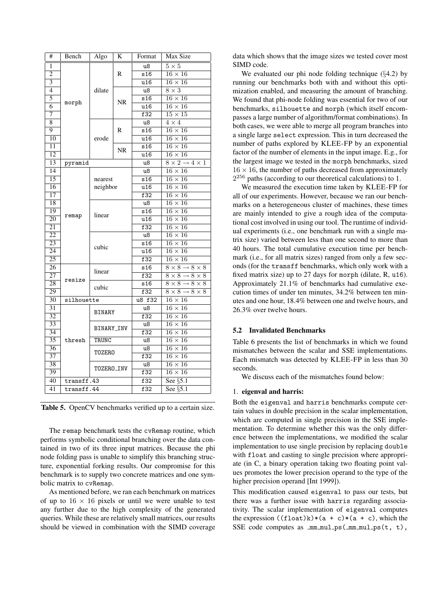| #               | Bench      | Algo          | K   | Format         | Max Size                            |
|-----------------|------------|---------------|-----|----------------|-------------------------------------|
| 1               |            |               | R   | u8             | $5 \times 5$                        |
| $\overline{2}$  |            | dilate        |     | s16            | $16 \times 16$                      |
| $\overline{3}$  |            |               |     | u16            | $16 \times 16$                      |
| $\overline{4}$  |            |               |     | u8             | $8 \times 3$                        |
| $\overline{5}$  | morph      |               | NR  | s16            | $16 \times 16$                      |
| $\overline{6}$  |            |               |     | u16            | $16 \times 16$                      |
| $\overline{7}$  |            |               |     | f32            | $\overline{15\times15}$             |
| $\overline{8}$  |            |               | R   | u8             | $4 \times 4$                        |
| $\overline{9}$  |            |               |     | \$16           | $16 \times 16$                      |
| 10              |            | erode         |     | u16            | $16 \times 16$                      |
| 11              |            |               | NR. | s16            | $16 \times 16$                      |
| $\overline{12}$ |            |               |     | u16            | $16 \times 16$                      |
| $\overline{13}$ | pyramid    |               |     | u8             | $8 \times 2 \rightarrow 4 \times 1$ |
| $\overline{14}$ |            |               |     | u8             | $16 \times 16$                      |
| 15              |            | nearest       |     | \$16           | $16 \times 16$                      |
| 16              |            | neighbor      |     | u16            | $16 \times 16$                      |
| $\overline{17}$ | remap      |               |     | f32            | $16 \times 16$                      |
| 18              |            |               |     | u8             | $16 \times 16$                      |
| 19              |            | linear        |     | s16            | $16 \times 16$                      |
| $\overline{20}$ |            |               |     | u16            | $16 \times 16$                      |
| 21              |            |               |     | f32            | $16 \times 16$                      |
| $\overline{22}$ |            |               |     |                | $16 \times 16$                      |
| 23              |            | cubic         | s16 | $16 \times 16$ |                                     |
| $\overline{24}$ |            |               |     | u16            | $16 \times 16$                      |
| $\overline{25}$ |            |               |     | f32            | $16 \times 16$                      |
| 26              | linear     |               |     | \$16           | $8 \times 8 \rightarrow 8 \times 8$ |
| 27              | resize     |               |     | f32            | $8 \times 8 \rightarrow 8 \times 8$ |
| $\overline{28}$ |            | cubic         |     | s16            | $8 \times 8 \rightarrow 8 \times 8$ |
| 29              |            |               |     | f32            | $8 \times 8 \rightarrow 8 \times 8$ |
| 30              | silhouette |               |     | u8 f32         | $16 \times 16$                      |
| $\overline{31}$ |            | <b>BINARY</b> |     | u8             | $16 \times 16$                      |
| $\overline{32}$ |            |               |     | f32            | $16 \times 16$                      |
| 33              |            | BINARY_INV    |     | u8             | $16 \times 16$                      |
| $\overline{34}$ | thresh     |               |     | f32            | $16 \times 16$                      |
| 35              |            | TRUNC         |     | u8<br>u8       | $16 \times 16$                      |
| $\overline{36}$ |            | <b>TOZERO</b> |     |                | $16 \times 16$                      |
| 37              |            |               |     | f32            | $16 \times 16$                      |
| 38              |            | TOZERO_INV    |     | u8             | $16 \times 16$                      |
| 39              |            |               |     | f32            | $16 \times 16$                      |
| 40              | transff.43 |               |     | f32            | See $\S$ 5.1                        |
| 41              | transff.44 |               |     | f32            | See $\S$ 5.1                        |

Table 5. OpenCV benchmarks verified up to a certain size.

The remap benchmark tests the cvRemap routine, which performs symbolic conditional branching over the data contained in two of its three input matrices. Because the phi node folding pass is unable to simplify this branching structure, exponential forking results. Our compromise for this benchmark is to supply two concrete matrices and one symbolic matrix to cvRemap.

As mentioned before, we ran each benchmark on matrices of up to  $16 \times 16$  pixels or until we were unable to test any further due to the high complexity of the generated queries. While these are relatively small matrices, our results should be viewed in combination with the SIMD coverage data which shows that the image sizes we tested cover most SIMD code.

We evaluated our phi node folding technique  $(\S 4.2)$  by running our benchmarks both with and without this optimization enabled, and measuring the amount of branching. We found that phi-node folding was essential for two of our benchmarks, silhouette and morph (which itself encompasses a large number of algorithm/format combinations). In both cases, we were able to merge all program branches into a single large select expression. This in turn decreased the number of paths explored by KLEE-FP by an exponential factor of the number of elements in the input image. E.g., for the largest image we tested in the morph benchmarks, sized  $16 \times 16$ , the number of paths decreased from approximately  $2^{256}$  paths (according to our theoretical calculations) to 1.

We measured the execution time taken by KLEE-FP for all of our experiments. However, because we ran our benchmarks on a heterogeneous cluster of machines, these times are mainly intended to give a rough idea of the computational cost involved in using our tool. The runtime of individual experiments (i.e., one benchmark run with a single matrix size) varied between less than one second to more than 40 hours. The total cumulative execution time per benchmark (i.e., for all matrix sizes) ranged from only a few seconds (for the transff benchmarks, which only work with a fixed matrix size) up to 27 days for morph (dilate, R, u16). Approximately 21.1% of benchmarks had cumulative execution times of under ten minutes, 34.2% between ten minutes and one hour, 18.4% between one and twelve hours, and 26.3% over twelve hours.

#### 5.2 Invalidated Benchmarks

Table 6 presents the list of benchmarks in which we found mismatches between the scalar and SSE implementations. Each mismatch was detected by KLEE-FP in less than 30 seconds.

We discuss each of the mismatches found below:

#### 1. eigenval and harris:

Both the eigenval and harris benchmarks compute certain values in double precision in the scalar implementation, which are computed in single precision in the SSE implementation. To determine whether this was the only difference between the implementations, we modified the scalar implementation to use single precision by replacing double with float and casting to single precision where appropriate (in C, a binary operation taking two floating point values promotes the lower precision operand to the type of the higher precision operand [Int 1999]).

This modification caused eigenval to pass our tests, but there was a further issue with harris regarding associativity. The scalar implementation of eigenval computes the expression  $((f\text{load})k)*(a + c)*(a + c)$ , which the SSE code computes as  $mm\_mul_ps(mm\_mul_ps(t, t),$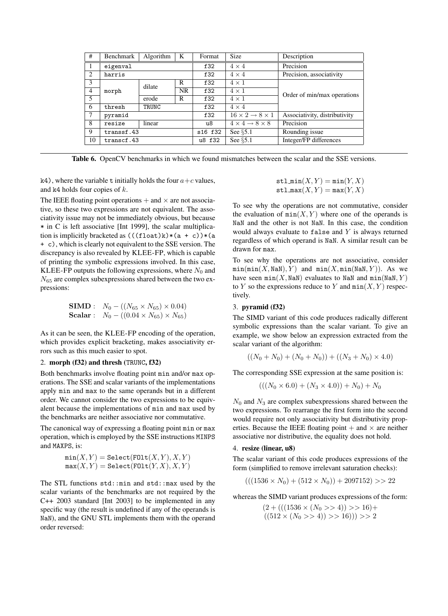| #               | Benchmark       | Algorithm | K | Format    | <b>Size</b>                          | Description                   |
|-----------------|-----------------|-----------|---|-----------|--------------------------------------|-------------------------------|
|                 | eigenval        |           |   | f32       | $4 \times 4$                         | Precision                     |
| 2               | harris          |           |   | f32       | $4 \times 4$                         | Precision, associativity      |
| 3               | morph           | dilate    | R | f32       | $4 \times 1$                         |                               |
| $\overline{4}$  |                 |           |   | <b>NR</b> | f32                                  | $4 \times 1$                  |
| 5               |                 | erode     | R | f32       | $4 \times 1$                         |                               |
| 6               | TRUNC<br>thresh |           |   | f32       | $4 \times 4$                         |                               |
| $7\phantom{.0}$ | pyramid         |           |   | f32       | $16 \times 2 \rightarrow 8 \times 1$ | Associativity, distributivity |
| 8               | resize          | linear    |   |           | $4 \times 4 \rightarrow 8 \times 8$  | Precision                     |
| 9               | transsf.43      |           |   | s16 f32   | See $\S5.1$                          | Rounding issue                |
| 10              | transcf.43      |           |   | u8 f32    | See $\S5.1$                          | Integer/FP differences        |

Table 6. OpenCV benchmarks in which we found mismatches between the scalar and the SSE versions.

k4), where the variable t initially holds the four  $a+c$  values, and k4 holds four copies of k.

The IEEE floating point operations  $+$  and  $\times$  are not associative, so these two expressions are not equivalent. The associativity issue may not be immediately obvious, but because  $*$  in C is left associative [Int 1999], the scalar multiplication is implicitly bracketed as  $(((\text{float})k)*(a + c)*(a)$ + c), which is clearly not equivalent to the SSE version. The discrepancy is also revealed by KLEE-FP, which is capable of printing the symbolic expressions involved. In this case, KLEE-FP outputs the following expressions, where  $N_0$  and  $N_{65}$  are complex subexpressions shared between the two expressions:

**SIMD**: 
$$
N_0 - ((N_{65} \times N_{65}) \times 0.04)
$$
  
**Scalar**:  $N_0 - ((0.04 \times N_{65}) \times N_{65})$ 

As it can be seen, the KLEE-FP encoding of the operation, which provides explicit bracketing, makes associativity errors such as this much easier to spot.

#### 2. morph (f32) and thresh (TRUNC, f32)

Both benchmarks involve floating point min and/or max operations. The SSE and scalar variants of the implementations apply min and max to the same operands but in a different order. We cannot consider the two expressions to be equivalent because the implementations of min and max used by the benchmarks are neither associative nor commutative.

The canonical way of expressing a floating point min or max operation, which is employed by the SSE instructions MINPS and MAXPS, is:

$$
\min(X, Y) = \texttt{Select}(\texttt{FOLt}(X, Y), X, Y) \\ \max(X, Y) = \texttt{Select}(\texttt{FOLt}(Y, X), X, Y)
$$

The STL functions std::min and std::max used by the scalar variants of the benchmarks are not required by the C++ 2003 standard [Int 2003] to be implemented in any specific way (the result is undefined if any of the operands is NaN), and the GNU STL implements them with the operand order reversed:

$$
\begin{array}{l} \mathtt{stl.min}(X,Y) = \min(Y,X) \\ \mathtt{stl.max}(X,Y) = \max(Y,X) \end{array}
$$

To see why the operations are not commutative, consider the evaluation of  $min(X, Y)$  where one of the operands is NaN and the other is not NaN. In this case, the condition would always evaluate to  $false$  and  $Y$  is always returned regardless of which operand is NaN. A similar result can be drawn for max.

To see why the operations are not associative, consider  $min(min(X, \text{NaN}), Y)$  and  $min(X, \text{min}(\text{NaN}, Y))$ . As we have seen  $min(X,$  NaN) evaluates to NaN and  $min(NaN, Y)$ to Y so the expressions reduce to Y and  $min(X, Y)$  respectively.

#### 3. pyramid (f32)

The SIMD variant of this code produces radically different symbolic expressions than the scalar variant. To give an example, we show below an expression extracted from the scalar variant of the algorithm:

$$
((N_0 + N_0) + (N_0 + N_0)) + ((N_3 + N_0) \times 4.0)
$$

The corresponding SSE expression at the same position is:

$$
(((N_0 \times 6.0) + (N_3 \times 4.0)) + N_0) + N_0
$$

 $N_0$  and  $N_3$  are complex subexpressions shared between the two expressions. To rearrange the first form into the second would require not only associativity but distributivity properties. Because the IEEE floating point  $+$  and  $\times$  are neither associative nor distributive, the equality does not hold.

#### 4. resize (linear, u8)

The scalar variant of this code produces expressions of the form (simplified to remove irrelevant saturation checks):

$$
(((1536 \times N_0) + (512 \times N_0)) + 2097152) >> 22
$$

whereas the SIMD variant produces expressions of the form:

$$
(2 + (((1536 \times (N_0 >> 4)) >> 16) + ((512 \times (N_0 >> 4)) >> 16))) >> 2
$$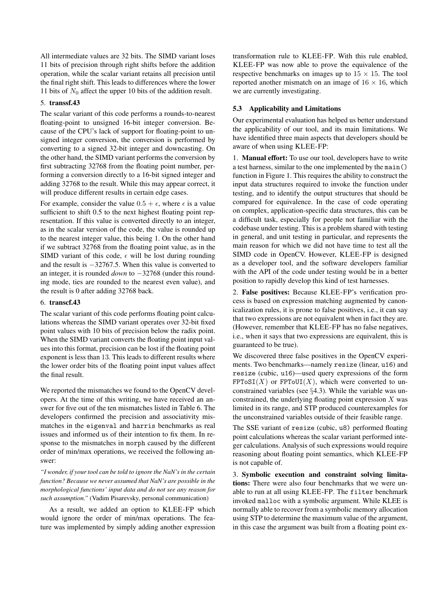All intermediate values are 32 bits. The SIMD variant loses 11 bits of precision through right shifts before the addition operation, while the scalar variant retains all precision until the final right shift. This leads to differences where the lower 11 bits of  $N_0$  affect the upper 10 bits of the addition result.

#### 5. transsf.43

The scalar variant of this code performs a rounds-to-nearest floating-point to unsigned 16-bit integer conversion. Because of the CPU's lack of support for floating-point to unsigned integer conversion, the conversion is performed by converting to a signed 32-bit integer and downcasting. On the other hand, the SIMD variant performs the conversion by first subtracting 32768 from the floating point number, performing a conversion directly to a 16-bit signed integer and adding 32768 to the result. While this may appear correct, it will produce different results in certain edge cases.

For example, consider the value  $0.5 + \epsilon$ , where  $\epsilon$  is a value sufficient to shift 0.5 to the next highest floating point representation. If this value is converted directly to an integer, as in the scalar version of the code, the value is rounded up to the nearest integer value, this being 1. On the other hand if we subtract 32768 from the floating point value, as in the SIMD variant of this code,  $\epsilon$  will be lost during rounding and the result is −32767.5. When this value is converted to an integer, it is rounded *down* to −32768 (under this rounding mode, ties are rounded to the nearest even value), and the result is 0 after adding 32768 back.

#### 6. transcf.43

The scalar variant of this code performs floating point calculations whereas the SIMD variant operates over 32-bit fixed point values with 10 bits of precision below the radix point. When the SIMD variant converts the floating point input values into this format, precision can be lost if the floating point exponent is less than 13. This leads to different results where the lower order bits of the floating point input values affect the final result.

We reported the mismatches we found to the OpenCV developers. At the time of this writing, we have received an answer for five out of the ten mismatches listed in Table 6. The developers confirmed the precision and associativity mismatches in the eigenval and harris benchmarks as real issues and informed us of their intention to fix them. In response to the mismatches in morph caused by the different order of min/max operations, we received the following answer:

*"I wonder, if your tool can be told to ignore the NaN's in the certain function? Because we never assumed that NaN's are possible in the morphological functions' input data and do not see any reason for such assumption."* (Vadim Pisarevsky, personal communication)

As a result, we added an option to KLEE-FP which would ignore the order of min/max operations. The feature was implemented by simply adding another expression transformation rule to KLEE-FP. With this rule enabled, KLEE-FP was now able to prove the equivalence of the respective benchmarks on images up to  $15 \times 15$ . The tool reported another mismatch on an image of  $16 \times 16$ , which we are currently investigating.

#### 5.3 Applicability and Limitations

Our experimental evaluation has helped us better understand the applicability of our tool, and its main limitations. We have identified three main aspects that developers should be aware of when using KLEE-FP:

1. Manual effort: To use our tool, developers have to write a test harness, similar to the one implemented by the main() function in Figure 1. This requires the ability to construct the input data structures required to invoke the function under testing, and to identify the output structures that should be compared for equivalence. In the case of code operating on complex, application-specific data structures, this can be a difficult task, especially for people not familiar with the codebase under testing. This is a problem shared with testing in general, and unit testing in particular, and represents the main reason for which we did not have time to test all the SIMD code in OpenCV. However, KLEE-FP is designed as a developer tool, and the software developers familiar with the API of the code under testing would be in a better position to rapidly develop this kind of test harnesses.

2. False positives: Because KLEE-FP's verification process is based on expression matching augmented by canonicalization rules, it is prone to false positives, i.e., it can say that two expressions are not equivalent when in fact they are. (However, remember that KLEE-FP has no false negatives, i.e., when it says that two expressions are equivalent, this is guaranteed to be true).

We discovered three false positives in the OpenCV experiments. Two benchmarks—namely resize (linear, u16) and resize (cubic, u16)—used query expressions of the form FPToSI(X) or FPToUI(X), which were converted to unconstrained variables (see §4.3). While the variable was unconstrained, the underlying floating point expression  $X$  was limited in its range, and STP produced counterexamples for the unconstrained variables outside of their feasible range.

The SSE variant of resize (cubic, u8) performed floating point calculations whereas the scalar variant performed integer calculations. Analysis of such expressions would require reasoning about floating point semantics, which KLEE-FP is not capable of.

3. Symbolic execution and constraint solving limitations: There were also four benchmarks that we were unable to run at all using KLEE-FP. The filter benchmark invoked malloc with a symbolic argument. While KLEE is normally able to recover from a symbolic memory allocation using STP to determine the maximum value of the argument, in this case the argument was built from a floating point ex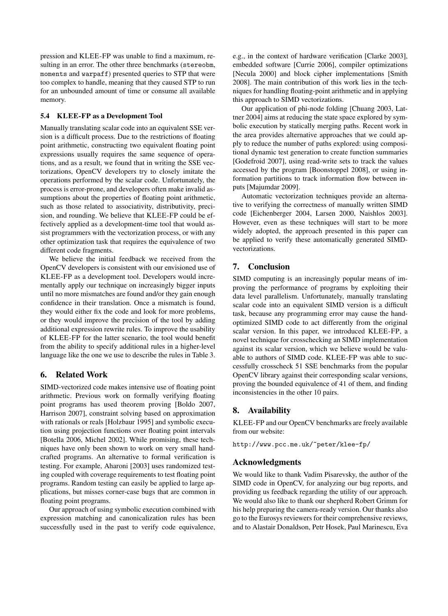pression and KLEE-FP was unable to find a maximum, resulting in an error. The other three benchmarks (stereobm, moments and warpaff) presented queries to STP that were too complex to handle, meaning that they caused STP to run for an unbounded amount of time or consume all available memory.

# 5.4 KLEE-FP as a Development Tool

Manually translating scalar code into an equivalent SSE version is a difficult process. Due to the restrictions of floating point arithmetic, constructing two equivalent floating point expressions usually requires the same sequence of operations, and as a result, we found that in writing the SSE vectorizations, OpenCV developers try to closely imitate the operations performed by the scalar code. Unfortunately, the process is error-prone, and developers often make invalid assumptions about the properties of floating point arithmetic, such as those related to associativity, distributivity, precision, and rounding. We believe that KLEE-FP could be effectively applied as a development-time tool that would assist programmers with the vectorization process, or with any other optimization task that requires the equivalence of two different code fragments.

We believe the initial feedback we received from the OpenCV developers is consistent with our envisioned use of KLEE-FP as a development tool. Developers would incrementally apply our technique on increasingly bigger inputs until no more mismatches are found and/or they gain enough confidence in their translation. Once a mismatch is found, they would either fix the code and look for more problems, or they would improve the precision of the tool by adding additional expression rewrite rules. To improve the usability of KLEE-FP for the latter scenario, the tool would benefit from the ability to specify additional rules in a higher-level language like the one we use to describe the rules in Table 3.

# 6. Related Work

SIMD-vectorized code makes intensive use of floating point arithmetic. Previous work on formally verifying floating point programs has used theorem proving [Boldo 2007, Harrison 2007], constraint solving based on approximation with rationals or reals [Holzbaur 1995] and symbolic execution using projection functions over floating point intervals [Botella 2006, Michel 2002]. While promising, these techniques have only been shown to work on very small handcrafted programs. An alternative to formal verification is testing. For example, Aharoni [2003] uses randomized testing coupled with coverage requirements to test floating point programs. Random testing can easily be applied to large applications, but misses corner-case bugs that are common in floating point programs.

Our approach of using symbolic execution combined with expression matching and canonicalization rules has been successfully used in the past to verify code equivalence, e.g., in the context of hardware verification [Clarke 2003], embedded software [Currie 2006], compiler optimizations [Necula 2000] and block cipher implementations [Smith 2008]. The main contribution of this work lies in the techniques for handling floating-point arithmetic and in applying this approach to SIMD vectorizations.

Our application of phi-node folding [Chuang 2003, Lattner 2004] aims at reducing the state space explored by symbolic execution by statically merging paths. Recent work in the area provides alternative approaches that we could apply to reduce the number of paths explored: using compositional dynamic test generation to create function summaries [Godefroid 2007], using read-write sets to track the values accessed by the program [Boonstoppel 2008], or using information partitions to track information flow between inputs [Majumdar 2009].

Automatic vectorization techniques provide an alternative to verifying the correctness of manually written SIMD code [Eichenberger 2004, Larsen 2000, Naishlos 2003]. However, even as these techniques will start to be more widely adopted, the approach presented in this paper can be applied to verify these automatically generated SIMDvectorizations.

# 7. Conclusion

SIMD computing is an increasingly popular means of improving the performance of programs by exploiting their data level parallelism. Unfortunately, manually translating scalar code into an equivalent SIMD version is a difficult task, because any programming error may cause the handoptimized SIMD code to act differently from the original scalar version. In this paper, we introduced KLEE-FP, a novel technique for crosschecking an SIMD implementation against its scalar version, which we believe would be valuable to authors of SIMD code. KLEE-FP was able to successfully crosscheck 51 SSE benchmarks from the popular OpenCV library against their corresponding scalar versions, proving the bounded equivalence of 41 of them, and finding inconsistencies in the other 10 pairs.

# 8. Availability

KLEE-FP and our OpenCV benchmarks are freely available from our website:

http://www.pcc.me.uk/~peter/klee-fp/

# Acknowledgments

We would like to thank Vadim Pisarevsky, the author of the SIMD code in OpenCV, for analyzing our bug reports, and providing us feedback regarding the utility of our approach. We would also like to thank our shepherd Robert Grimm for his help preparing the camera-ready version. Our thanks also go to the Eurosys reviewers for their comprehensive reviews, and to Alastair Donaldson, Petr Hosek, Paul Marinescu, Eva